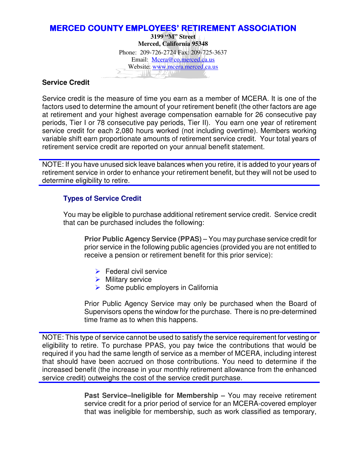#### MERCED COUNTY EMPLOYEES' RETIREMENT ASSOCIATION **3199 "M" Street Merced, California 95348**  Phone: 209-726-2724 Fax: 209-725-3637 Email: Mcera@co.merced.ca.us Website: www.mcera.merced.ca.us

# **Service Credit**

Service credit is the measure of time you earn as a member of MCERA. It is one of the factors used to determine the amount of your retirement benefit (the other factors are age at retirement and your highest average compensation earnable for 26 consecutive pay periods, Tier I or 78 consecutive pay periods, Tier II). You earn one year of retirement service credit for each 2,080 hours worked (not including overtime). Members working variable shift earn proportionate amounts of retirement service credit. Your total years of retirement service credit are reported on your annual benefit statement.

NOTE: If you have unused sick leave balances when you retire, it is added to your years of retirement service in order to enhance your retirement benefit, but they will not be used to determine eligibility to retire.

# **Types of Service Credit**

You may be eligible to purchase additional retirement service credit. Service credit that can be purchased includes the following:

**Prior Public Agency Service (PPAS)** – You may purchase service credit for prior service in the following public agencies (provided you are not entitled to receive a pension or retirement benefit for this prior service):

- $\triangleright$  Federal civil service
- $\triangleright$  Military service
- $\triangleright$  Some public employers in California

Prior Public Agency Service may only be purchased when the Board of Supervisors opens the window for the purchase. There is no pre-determined time frame as to when this happens.

NOTE: This type of service cannot be used to satisfy the service requirement for vesting or eligibility to retire. To purchase PPAS, you pay twice the contributions that would be required if you had the same length of service as a member of MCERA, including interest that should have been accrued on those contributions. You need to determine if the increased benefit (the increase in your monthly retirement allowance from the enhanced service credit) outweighs the cost of the service credit purchase.

> **Past Service–Ineligible for Membership –** You may receive retirement service credit for a prior period of service for an MCERA-covered employer that was ineligible for membership, such as work classified as temporary,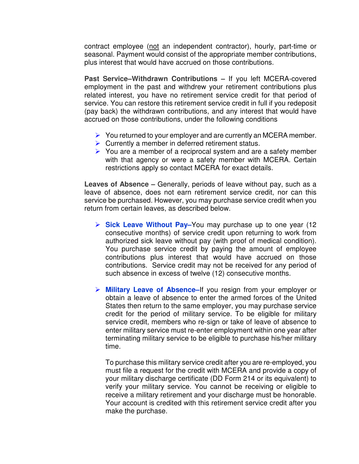contract employee (not an independent contractor), hourly, part-time or seasonal. Payment would consist of the appropriate member contributions, plus interest that would have accrued on those contributions.

**Past Service–Withdrawn Contributions –** If you left MCERA-covered employment in the past and withdrew your retirement contributions plus related interest, you have no retirement service credit for that period of service. You can restore this retirement service credit in full if you redeposit (pay back) the withdrawn contributions, and any interest that would have accrued on those contributions, under the following conditions

- $\triangleright$  You returned to your employer and are currently an MCERA member.
- $\triangleright$  Currently a member in deferred retirement status.
- $\triangleright$  You are a member of a reciprocal system and are a safety member with that agency or were a safety member with MCERA. Certain restrictions apply so contact MCERA for exact details.

**Leaves of Absence –** Generally, periods of leave without pay, such as a leave of absence, does not earn retirement service credit, nor can this service be purchased. However, you may purchase service credit when you return from certain leaves, as described below.

- **Sick Leave Without Pay–**You may purchase up to one year (12 consecutive months) of service credit upon returning to work from authorized sick leave without pay (with proof of medical condition). You purchase service credit by paying the amount of employee contributions plus interest that would have accrued on those contributions. Service credit may not be received for any period of such absence in excess of twelve (12) consecutive months.
- **Military Leave of Absence–**If you resign from your employer or obtain a leave of absence to enter the armed forces of the United States then return to the same employer, you may purchase service credit for the period of military service. To be eligible for military service credit, members who re-sign or take of leave of absence to enter military service must re-enter employment within one year after terminating military service to be eligible to purchase his/her military time.

To purchase this military service credit after you are re-employed, you must file a request for the credit with MCERA and provide a copy of your military discharge certificate (DD Form 214 or its equivalent) to verify your military service. You cannot be receiving or eligible to receive a military retirement and your discharge must be honorable. Your account is credited with this retirement service credit after you make the purchase.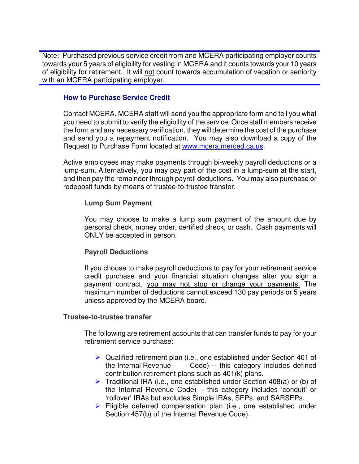Note: Purchased previous service credit from and MCERA participating employer counts towards your 5 years of eligibility for vesting in MCERA and it counts towards your 10 years of eligibility for retirement. It will not count towards accumulation of vacation or seniority with an MCERA participating employer.

### **How to Purchase Service Credit**

Contact MCERA. MCERA staff will send you the appropriate form and tell you what you need to submit to verify the eligibility of the service. Once staff members receive the form and any necessary verification, they will determine the cost of the purchase and send you a repayment notification. You may also download a copy of the Request to Purchase Form located at www.mcera.merced.ca.us.

Active employees may make payments through bi-weekly payroll deductions or a lump-sum. Alternatively, you may pay part of the cost in a lump-sum at the start, and then pay the remainder through payroll deductions. You may also purchase or redeposit funds by means of trustee-to-trustee transfer.

# **Lump Sum Payment**

You may choose to make a lump sum payment of the amount due by personal check, money order, certified check, or cash. Cash payments will ONLY be accepted in person.

# **Payroll Deductions**

If you choose to make payroll deductions to pay for your retirement service credit purchase and your financial situation changes after you sign a payment contract, you may not stop or change your payments. The maximum number of deductions cannot exceed 130 pay periods or 5 years unless approved by the MCERA board.

#### **Trustee-to-trustee transfer**

The following are retirement accounts that can transfer funds to pay for your retirement service purchase:

- $\triangleright$  Qualified retirement plan (i.e., one established under Section 401 of the Internal Revenue Code) – this category includes defined contribution retirement plans such as 401(k) plans.
- $\triangleright$  Traditional IRA (i.e., one established under Section 408(a) or (b) of the Internal Revenue Code) – this category includes 'conduit' or 'rollover' IRAs but excludes Simple IRAs, SEPs, and SARSEPs.
- $\triangleright$  Eligible deferred compensation plan (i.e., one established under Section 457(b) of the Internal Revenue Code).